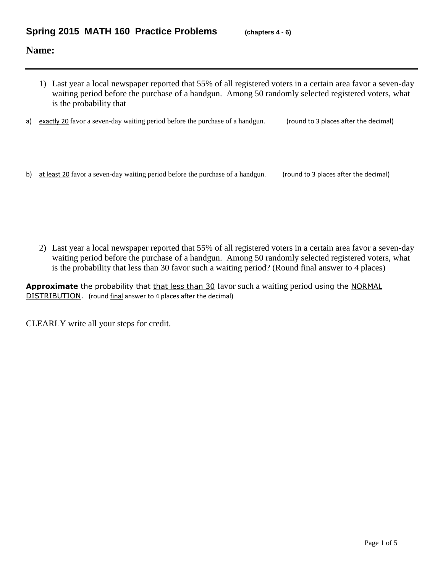## **Name:**

- 1) Last year a local newspaper reported that 55% of all registered voters in a certain area favor a seven-day waiting period before the purchase of a handgun. Among 50 randomly selected registered voters, what is the probability that
- a) exactly 20 favor a seven-day waiting period before the purchase of a handgun. (round to 3 places after the decimal)
- b) at least 20 favor a seven-day waiting period before the purchase of a handgun. (round to 3 places after the decimal)

2) Last year a local newspaper reported that 55% of all registered voters in a certain area favor a seven-day waiting period before the purchase of a handgun. Among 50 randomly selected registered voters, what is the probability that less than 30 favor such a waiting period? (Round final answer to 4 places)

Approximate the probability that that less than 30 favor such a waiting period using the NORMAL DISTRIBUTION. (round final answer to 4 places after the decimal)

CLEARLY write all your steps for credit.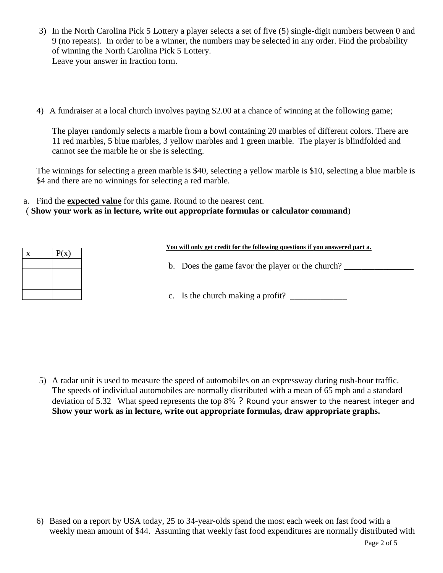- 3) In the North Carolina Pick 5 Lottery a player selects a set of five (5) single-digit numbers between 0 and 9 (no repeats). In order to be a winner, the numbers may be selected in any order. Find the probability of winning the North Carolina Pick 5 Lottery. Leave your answer in fraction form.
- 4) A fundraiser at a local church involves paying \$2.00 at a chance of winning at the following game;

The player randomly selects a marble from a bowl containing 20 marbles of different colors. There are 11 red marbles, 5 blue marbles, 3 yellow marbles and 1 green marble. The player is blindfolded and cannot see the marble he or she is selecting.

The winnings for selecting a green marble is \$40, selecting a yellow marble is \$10, selecting a blue marble is \$4 and there are no winnings for selecting a red marble.

a. Find the **expected value** for this game. Round to the nearest cent.

( **Show your work as in lecture, write out appropriate formulas or calculator command**)

| X | P(x) |
|---|------|
|   |      |
|   |      |
|   |      |
|   |      |

## **You will only get credit for the following questions if you answered part a.**

b. Does the game favor the player or the church?

c. Is the church making a profit?  $\Box$ 

5) A radar unit is used to measure the speed of automobiles on an expressway during rush-hour traffic. The speeds of individual automobiles are normally distributed with a mean of 65 mph and a standard deviation of 5.32 What speed represents the top 8% ? Round your answer to the nearest integer and **Show your work as in lecture, write out appropriate formulas, draw appropriate graphs.**

6) Based on a report by USA today, 25 to 34-year-olds spend the most each week on fast food with a weekly mean amount of \$44. Assuming that weekly fast food expenditures are normally distributed with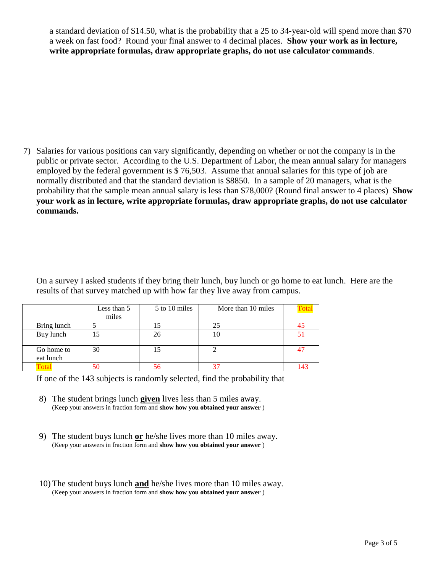a standard deviation of \$14.50, what is the probability that a 25 to 34-year-old will spend more than \$70 a week on fast food? Round your final answer to 4 decimal places. **Show your work as in lecture, write appropriate formulas, draw appropriate graphs, do not use calculator commands**.

7) Salaries for various positions can vary significantly, depending on whether or not the company is in the public or private sector. According to the U.S. Department of Labor, the mean annual salary for managers employed by the federal government is \$ 76,503. Assume that annual salaries for this type of job are normally distributed and that the standard deviation is \$8850. In a sample of 20 managers, what is the probability that the sample mean annual salary is less than \$78,000? (Round final answer to 4 places) **Show your work as in lecture, write appropriate formulas, draw appropriate graphs, do not use calculator commands.**

On a survey I asked students if they bring their lunch, buy lunch or go home to eat lunch. Here are the results of that survey matched up with how far they live away from campus.

|                         | Less than 5<br>miles | 5 to 10 miles | More than 10 miles |     |
|-------------------------|----------------------|---------------|--------------------|-----|
| Bring lunch             |                      |               | 25                 |     |
| Buy lunch               | כ 1                  | 26            | ΙU                 |     |
| Go home to<br>eat lunch | 30                   | 15            |                    |     |
|                         |                      | 56            |                    | 143 |

If one of the 143 subjects is randomly selected, find the probability that

- 8) The student brings lunch **given** lives less than 5 miles away. (Keep your answers in fraction form and **show how you obtained your answer** )
- 9) The student buys lunch **or** he/she lives more than 10 miles away. (Keep your answers in fraction form and **show how you obtained your answer** )
- 10) The student buys lunch **and** he/she lives more than 10 miles away. (Keep your answers in fraction form and **show how you obtained your answer** )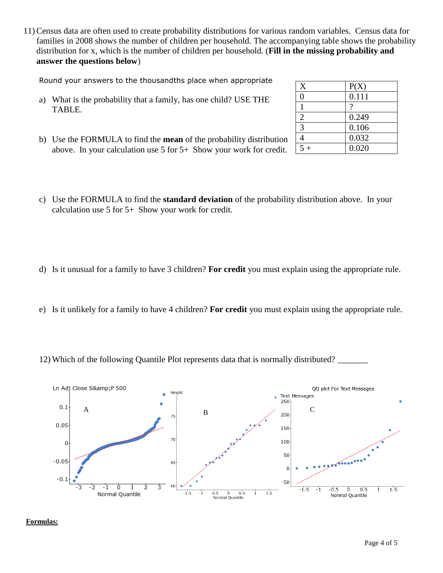11) Census data are often used to create probability distributions for various random variables. Census data for families in 2008 shows the number of children per household. The accompanying table shows the probability distribution for x, which is the number of children per household. (**Fill in the missing probability and answer the questions below**)

Round your answers to the thousandths place when appropriate

- a) What is the probability that a family, has one child? USE THE TABLE.
- b) Use the FORMULA to find the **mean** of the probability distribution above. In your calculation use 5 for 5+ Show your work for credit.
- c) Use the FORMULA to find the **standard deviation** of the probability distribution above. In your calculation use 5 for 5+ Show your work for credit.
- d) Is it unusual for a family to have 3 children? **For credit** you must explain using the appropriate rule.
- e) Is it unlikely for a family to have 4 children? **For credit** you must explain using the appropriate rule.
- 12) Which of the following Quantile Plot represents data that is normally distributed?



**Formulas:**

| X              | P(X)  |
|----------------|-------|
| 0              | 0.111 |
|                | 9     |
| $\overline{2}$ | 0.249 |
| 3              | 0.106 |
|                | 0.032 |
| $\leq$         | 0.020 |